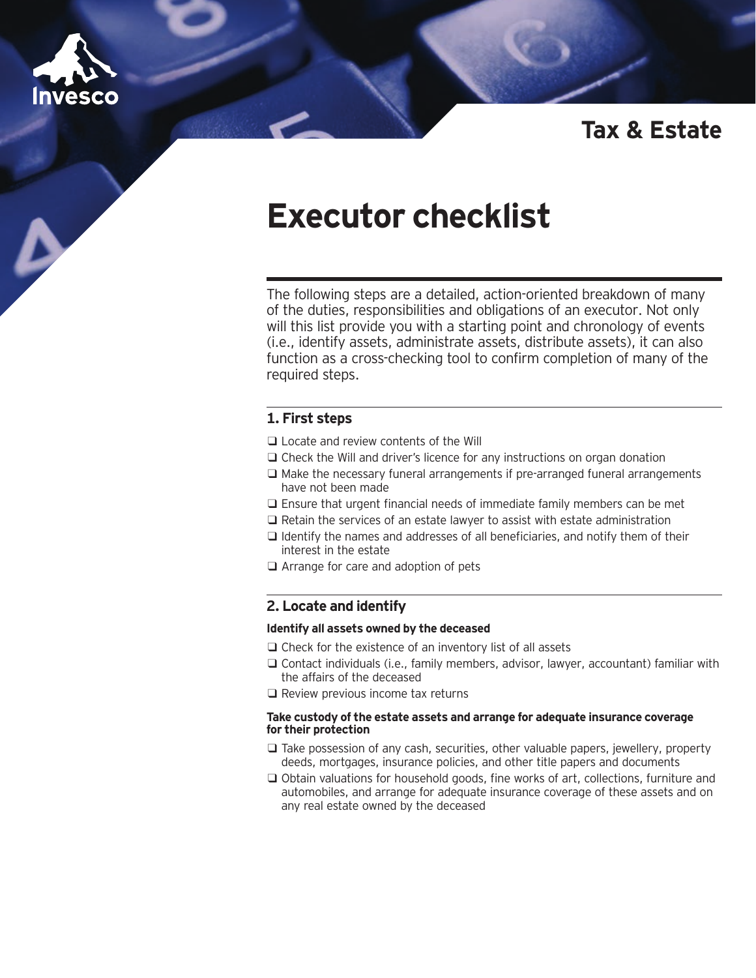

# **Tax & Estate**

# **Executor checklist**

The following steps are a detailed, action-oriented breakdown of many of the duties, responsibilities and obligations of an executor. Not only will this list provide you with a starting point and chronology of events (i.e., identify assets, administrate assets, distribute assets), it can also function as a cross-checking tool to confirm completion of many of the required steps.

# **1. First steps**

- ❑ Locate and review contents of the Will
- ❑ Check the Will and driver's licence for any instructions on organ donation
- ❑ Make the necessary funeral arrangements if pre-arranged funeral arrangements have not been made
- ❑ Ensure that urgent financial needs of immediate family members can be met
- ❑ Retain the services of an estate lawyer to assist with estate administration
- ❑ Identify the names and addresses of all beneficiaries, and notify them of their interest in the estate
- ❑ Arrange for care and adoption of pets

## **2. Locate and identify**

#### **Identify all assets owned by the deceased**

- ❑ Check for the existence of an inventory list of all assets
- ❑ Contact individuals (i.e., family members, advisor, lawyer, accountant) familiar with the affairs of the deceased
- ❑ Review previous income tax returns

#### **Take custody of the estate assets and arrange for adequate insurance coverage for their protection**

- ❑ Take possession of any cash, securities, other valuable papers, jewellery, property deeds, mortgages, insurance policies, and other title papers and documents
- ❑ Obtain valuations for household goods, fine works of art, collections, furniture and automobiles, and arrange for adequate insurance coverage of these assets and on any real estate owned by the deceased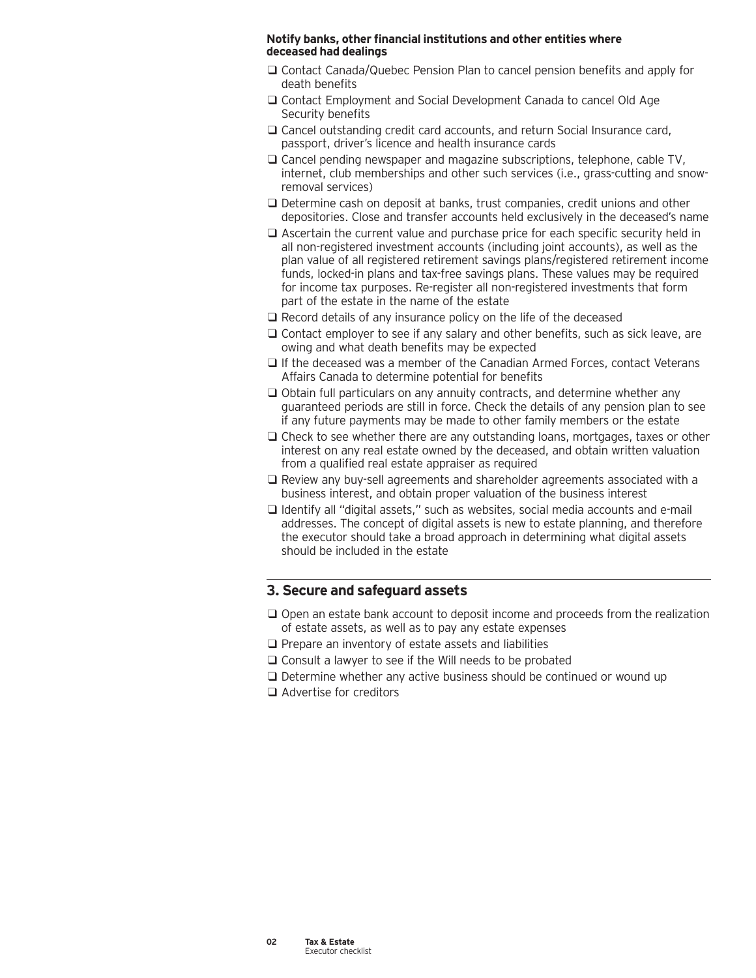#### **Notify banks, other financial institutions and other entities where deceased had dealings**

- ❑ Contact Canada/Quebec Pension Plan to cancel pension benefits and apply for death benefits
- ❑ Contact Employment and Social Development Canada to cancel Old Age Security benefits
- □ Cancel outstanding credit card accounts, and return Social Insurance card, passport, driver's licence and health insurance cards
- ❑ Cancel pending newspaper and magazine subscriptions, telephone, cable TV, internet, club memberships and other such services (i.e., grass-cutting and snowremoval services)
- ❑ Determine cash on deposit at banks, trust companies, credit unions and other depositories. Close and transfer accounts held exclusively in the deceased's name
- ❑ Ascertain the current value and purchase price for each specific security held in all non-registered investment accounts (including joint accounts), as well as the plan value of all registered retirement savings plans/registered retirement income funds, locked-in plans and tax-free savings plans. These values may be required for income tax purposes. Re-register all non-registered investments that form part of the estate in the name of the estate
- ❑ Record details of any insurance policy on the life of the deceased
- ❑ Contact employer to see if any salary and other benefits, such as sick leave, are owing and what death benefits may be expected
- ❑ If the deceased was a member of the Canadian Armed Forces, contact Veterans Affairs Canada to determine potential for benefits
- ❑ Obtain full particulars on any annuity contracts, and determine whether any guaranteed periods are still in force. Check the details of any pension plan to see if any future payments may be made to other family members or the estate
- ❑ Check to see whether there are any outstanding loans, mortgages, taxes or other interest on any real estate owned by the deceased, and obtain written valuation from a qualified real estate appraiser as required
- ❑ Review any buy-sell agreements and shareholder agreements associated with a business interest, and obtain proper valuation of the business interest
- ❑ Identify all "digital assets," such as websites, social media accounts and e-mail addresses. The concept of digital assets is new to estate planning, and therefore the executor should take a broad approach in determining what digital assets should be included in the estate

## **3. Secure and safeguard assets**

- ❑ Open an estate bank account to deposit income and proceeds from the realization of estate assets, as well as to pay any estate expenses
- ❑ Prepare an inventory of estate assets and liabilities
- ❑ Consult a lawyer to see if the Will needs to be probated
- ❑ Determine whether any active business should be continued or wound up
- ❑ Advertise for creditors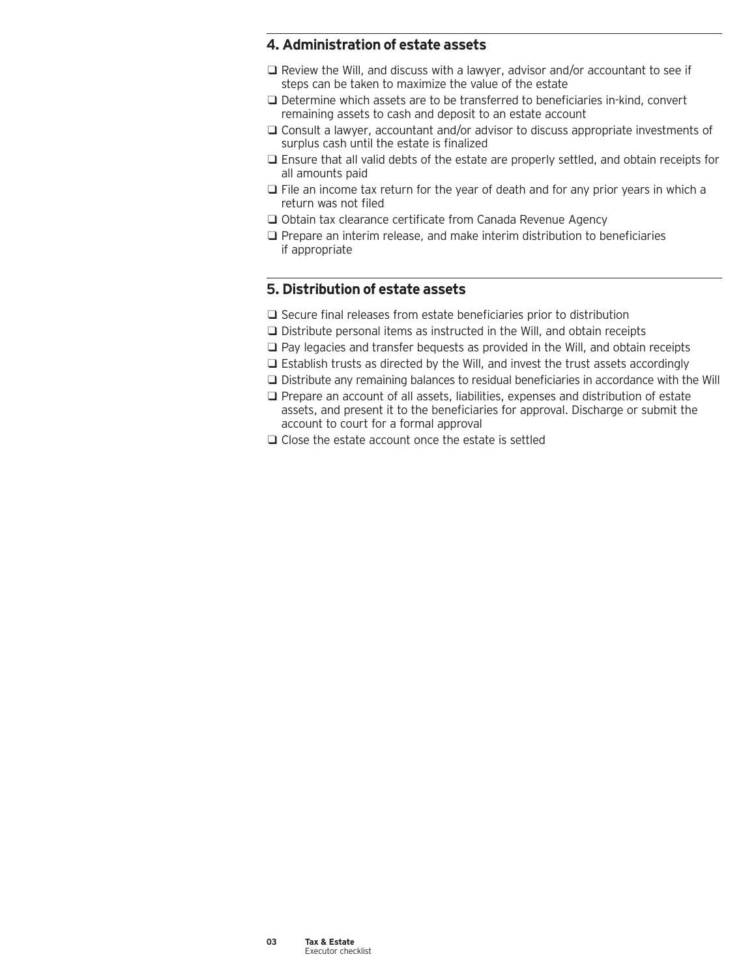# **4. Administration of estate assets**

- ❑ Review the Will, and discuss with a lawyer, advisor and/or accountant to see if steps can be taken to maximize the value of the estate
- ❑ Determine which assets are to be transferred to beneficiaries in-kind, convert remaining assets to cash and deposit to an estate account
- ❑ Consult a lawyer, accountant and/or advisor to discuss appropriate investments of surplus cash until the estate is finalized
- ❑ Ensure that all valid debts of the estate are properly settled, and obtain receipts for all amounts paid
- ❑ File an income tax return for the year of death and for any prior years in which a return was not filed
- ❑ Obtain tax clearance certificate from Canada Revenue Agency
- ❑ Prepare an interim release, and make interim distribution to beneficiaries if appropriate

# **5. Distribution of estate assets**

- ❑ Secure final releases from estate beneficiaries prior to distribution
- ❑ Distribute personal items as instructed in the Will, and obtain receipts
- ❑ Pay legacies and transfer bequests as provided in the Will, and obtain receipts
- ❑ Establish trusts as directed by the Will, and invest the trust assets accordingly
- ❑ Distribute any remaining balances to residual beneficiaries in accordance with the Will
- ❑ Prepare an account of all assets, liabilities, expenses and distribution of estate assets, and present it to the beneficiaries for approval. Discharge or submit the account to court for a formal approval
- ❑ Close the estate account once the estate is settled